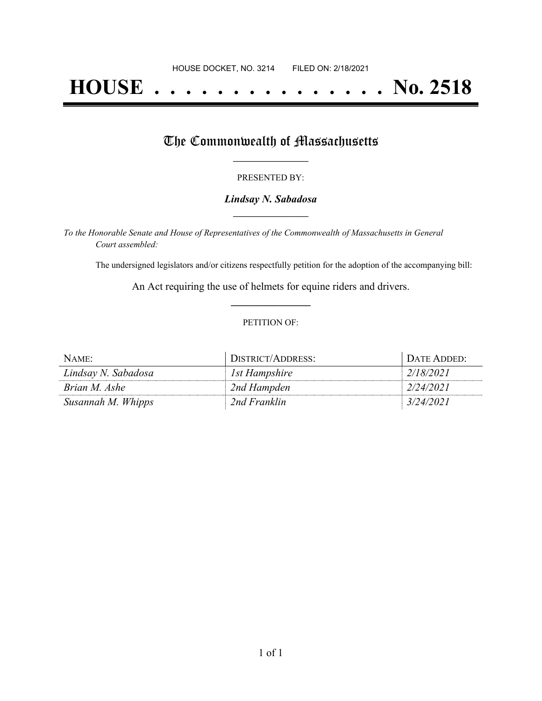# **HOUSE . . . . . . . . . . . . . . . No. 2518**

## The Commonwealth of Massachusetts

#### PRESENTED BY:

#### *Lindsay N. Sabadosa* **\_\_\_\_\_\_\_\_\_\_\_\_\_\_\_\_\_**

*To the Honorable Senate and House of Representatives of the Commonwealth of Massachusetts in General Court assembled:*

The undersigned legislators and/or citizens respectfully petition for the adoption of the accompanying bill:

An Act requiring the use of helmets for equine riders and drivers. **\_\_\_\_\_\_\_\_\_\_\_\_\_\_\_**

#### PETITION OF:

| $N$ AME:            | DISTRICT/ADDRESS: | DATE ADDED: |
|---------------------|-------------------|-------------|
| Lindsay N. Sabadosa | Ist Hampshire     | 2/18/2021   |
| Brian M. Ashe       | 2nd Hampden       | 2/24/2021   |
| Susannah M. Whipps  | 2nd Franklin      | 3/24/2021   |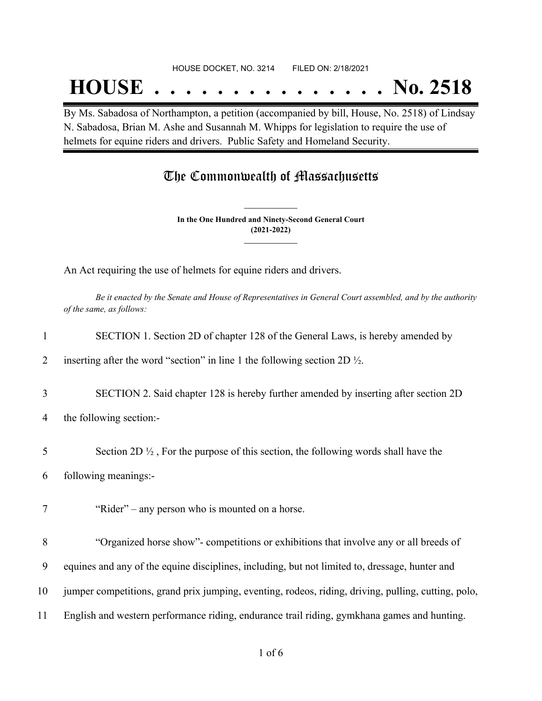## **HOUSE . . . . . . . . . . . . . . . No. 2518**

By Ms. Sabadosa of Northampton, a petition (accompanied by bill, House, No. 2518) of Lindsay N. Sabadosa, Brian M. Ashe and Susannah M. Whipps for legislation to require the use of helmets for equine riders and drivers. Public Safety and Homeland Security.

### The Commonwealth of Massachusetts

**In the One Hundred and Ninety-Second General Court (2021-2022) \_\_\_\_\_\_\_\_\_\_\_\_\_\_\_**

**\_\_\_\_\_\_\_\_\_\_\_\_\_\_\_**

An Act requiring the use of helmets for equine riders and drivers.

Be it enacted by the Senate and House of Representatives in General Court assembled, and by the authority *of the same, as follows:*

| 1      | SECTION 1. Section 2D of chapter 128 of the General Laws, is hereby amended by                                 |  |
|--------|----------------------------------------------------------------------------------------------------------------|--|
| 2      | inserting after the word "section" in line 1 the following section 2D $\frac{1}{2}$ .                          |  |
| 3<br>4 | SECTION 2. Said chapter 128 is hereby further amended by inserting after section 2D<br>the following section:- |  |
| 5      | Section 2D $\frac{1}{2}$ , For the purpose of this section, the following words shall have the                 |  |
| 6      | following meanings:-                                                                                           |  |
| 7      | "Rider" – any person who is mounted on a horse.                                                                |  |
| 8      | "Organized horse show"- competitions or exhibitions that involve any or all breeds of                          |  |
| 9      | equines and any of the equine disciplines, including, but not limited to, dressage, hunter and                 |  |
| 10     | jumper competitions, grand prix jumping, eventing, rodeos, riding, driving, pulling, cutting, polo,            |  |
| 11     | English and western performance riding, endurance trail riding, gymkhana games and hunting.                    |  |
|        |                                                                                                                |  |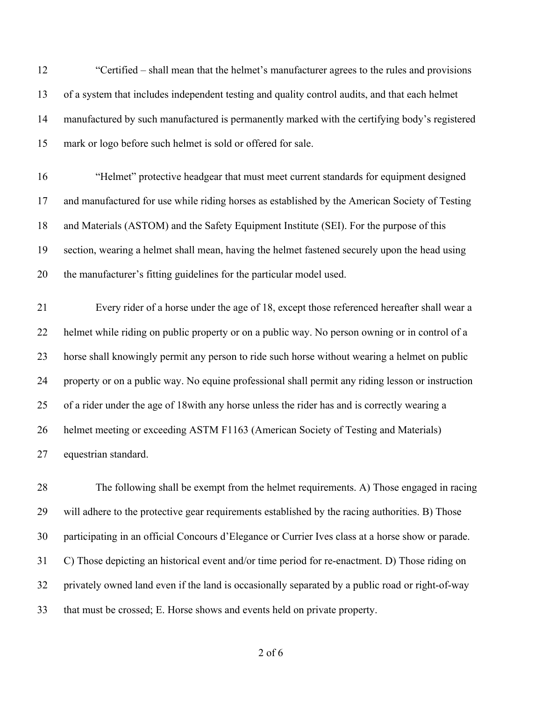"Certified – shall mean that the helmet's manufacturer agrees to the rules and provisions of a system that includes independent testing and quality control audits, and that each helmet manufactured by such manufactured is permanently marked with the certifying body's registered mark or logo before such helmet is sold or offered for sale. "Helmet" protective headgear that must meet current standards for equipment designed and manufactured for use while riding horses as established by the American Society of Testing and Materials (ASTOM) and the Safety Equipment Institute (SEI). For the purpose of this section, wearing a helmet shall mean, having the helmet fastened securely upon the head using the manufacturer's fitting guidelines for the particular model used. Every rider of a horse under the age of 18, except those referenced hereafter shall wear a helmet while riding on public property or on a public way. No person owning or in control of a horse shall knowingly permit any person to ride such horse without wearing a helmet on public property or on a public way. No equine professional shall permit any riding lesson or instruction of a rider under the age of 18with any horse unless the rider has and is correctly wearing a helmet meeting or exceeding ASTM F1163 (American Society of Testing and Materials) equestrian standard.

 The following shall be exempt from the helmet requirements. A) Those engaged in racing will adhere to the protective gear requirements established by the racing authorities. B) Those participating in an official Concours d'Elegance or Currier Ives class at a horse show or parade. C) Those depicting an historical event and/or time period for re-enactment. D) Those riding on privately owned land even if the land is occasionally separated by a public road or right-of-way that must be crossed; E. Horse shows and events held on private property.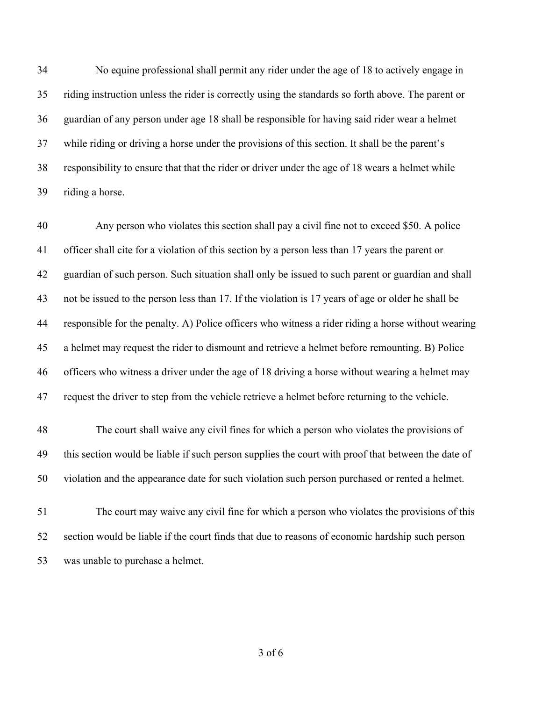No equine professional shall permit any rider under the age of 18 to actively engage in riding instruction unless the rider is correctly using the standards so forth above. The parent or guardian of any person under age 18 shall be responsible for having said rider wear a helmet while riding or driving a horse under the provisions of this section. It shall be the parent's responsibility to ensure that that the rider or driver under the age of 18 wears a helmet while riding a horse.

 Any person who violates this section shall pay a civil fine not to exceed \$50. A police officer shall cite for a violation of this section by a person less than 17 years the parent or guardian of such person. Such situation shall only be issued to such parent or guardian and shall not be issued to the person less than 17. If the violation is 17 years of age or older he shall be responsible for the penalty. A) Police officers who witness a rider riding a horse without wearing a helmet may request the rider to dismount and retrieve a helmet before remounting. B) Police officers who witness a driver under the age of 18 driving a horse without wearing a helmet may request the driver to step from the vehicle retrieve a helmet before returning to the vehicle.

 The court shall waive any civil fines for which a person who violates the provisions of this section would be liable if such person supplies the court with proof that between the date of violation and the appearance date for such violation such person purchased or rented a helmet.

 The court may waive any civil fine for which a person who violates the provisions of this section would be liable if the court finds that due to reasons of economic hardship such person was unable to purchase a helmet.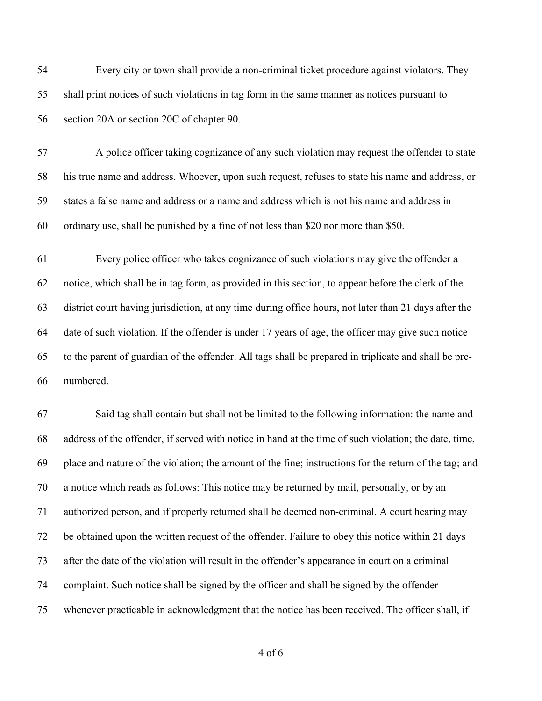Every city or town shall provide a non-criminal ticket procedure against violators. They shall print notices of such violations in tag form in the same manner as notices pursuant to section 20A or section 20C of chapter 90.

 A police officer taking cognizance of any such violation may request the offender to state his true name and address. Whoever, upon such request, refuses to state his name and address, or states a false name and address or a name and address which is not his name and address in ordinary use, shall be punished by a fine of not less than \$20 nor more than \$50.

 Every police officer who takes cognizance of such violations may give the offender a notice, which shall be in tag form, as provided in this section, to appear before the clerk of the district court having jurisdiction, at any time during office hours, not later than 21 days after the date of such violation. If the offender is under 17 years of age, the officer may give such notice to the parent of guardian of the offender. All tags shall be prepared in triplicate and shall be pre-numbered.

 Said tag shall contain but shall not be limited to the following information: the name and address of the offender, if served with notice in hand at the time of such violation; the date, time, place and nature of the violation; the amount of the fine; instructions for the return of the tag; and a notice which reads as follows: This notice may be returned by mail, personally, or by an authorized person, and if properly returned shall be deemed non-criminal. A court hearing may be obtained upon the written request of the offender. Failure to obey this notice within 21 days after the date of the violation will result in the offender's appearance in court on a criminal complaint. Such notice shall be signed by the officer and shall be signed by the offender whenever practicable in acknowledgment that the notice has been received. The officer shall, if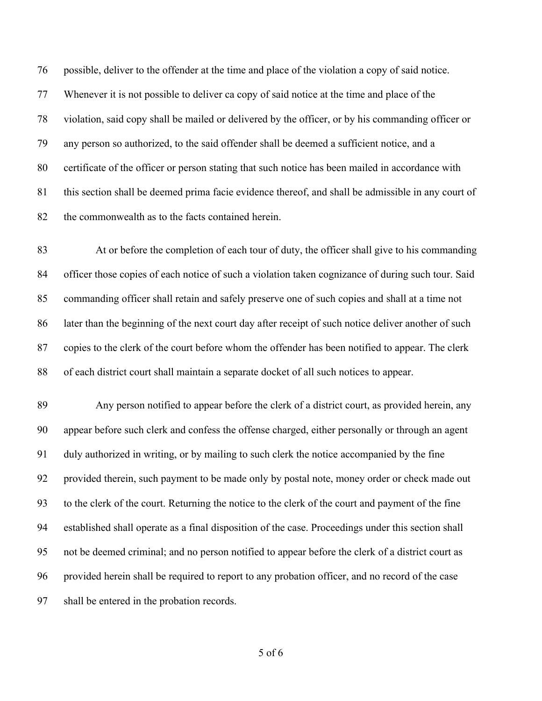possible, deliver to the offender at the time and place of the violation a copy of said notice. Whenever it is not possible to deliver ca copy of said notice at the time and place of the violation, said copy shall be mailed or delivered by the officer, or by his commanding officer or any person so authorized, to the said offender shall be deemed a sufficient notice, and a certificate of the officer or person stating that such notice has been mailed in accordance with this section shall be deemed prima facie evidence thereof, and shall be admissible in any court of the commonwealth as to the facts contained herein.

 At or before the completion of each tour of duty, the officer shall give to his commanding officer those copies of each notice of such a violation taken cognizance of during such tour. Said commanding officer shall retain and safely preserve one of such copies and shall at a time not later than the beginning of the next court day after receipt of such notice deliver another of such copies to the clerk of the court before whom the offender has been notified to appear. The clerk of each district court shall maintain a separate docket of all such notices to appear.

 Any person notified to appear before the clerk of a district court, as provided herein, any appear before such clerk and confess the offense charged, either personally or through an agent duly authorized in writing, or by mailing to such clerk the notice accompanied by the fine provided therein, such payment to be made only by postal note, money order or check made out to the clerk of the court. Returning the notice to the clerk of the court and payment of the fine established shall operate as a final disposition of the case. Proceedings under this section shall not be deemed criminal; and no person notified to appear before the clerk of a district court as provided herein shall be required to report to any probation officer, and no record of the case shall be entered in the probation records.